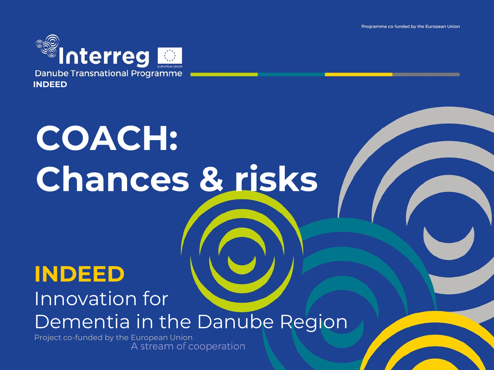Programme co-funded by the European Union



# **COACH: Chances & risks**

#### **INDEED**

#### Innovation for Dementia in the Danube Region

Project co-funded by the European Union<br>A stream of cooperation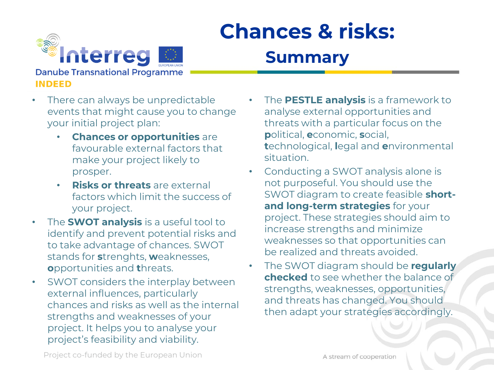

#### **Summary**

*Minterreg* **Danube Transnational Programme INDEED** 

- There can always be unpredictable events that might cause you to change your initial project plan:
	- **Chances or opportunities** are favourable external factors that make your project likely to prosper.
	- **Risks or threats** are external factors which limit the success of your project.
- The **SWOT analysis** is a useful tool to identify and prevent potential risks and to take advantage of chances. SWOT stands for **s**trenghts, **w**eaknesses, **o**pportunities and **t**hreats.
- SWOT considers the interplay between external influences, particularly chances and risks as well as the internal strengths and weaknesses of your project. It helps you to analyse your project's feasibility and viability.
- The **PESTLE analysis** is a framework to analyse external opportunities and threats with a particular focus on the **p**olitical, **e**conomic, **s**ocial, **t**echnological, **l**egal and **e**nvironmental situation.
- Conducting a SWOT analysis alone is not purposeful. You should use the SWOT diagram to create feasible **shortand long-term strategies** for your project. These strategies should aim to increase strengths and minimize weaknesses so that opportunities can be realized and threats avoided.
- The SWOT diagram should be **regularly checked** to see whether the balance of strengths, weaknesses, opportunities, and threats has changed. You should then adapt your strategies accordingly.

Project co-funded by the European Union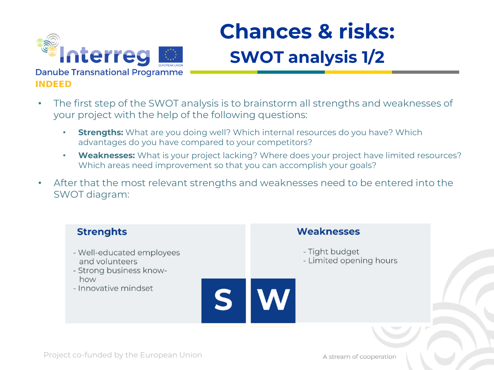

### **Chances & risks: SWOT analysis 1/2**

- The first step of the SWOT analysis is to brainstorm all strengths and weaknesses of your project with the help of the following questions:
	- **Strengths:** What are you doing well? Which internal resources do you have? Which advantages do you have compared to your competitors?
	- **Weaknesses:** What is your project lacking? Where does your project have limited resources? Which areas need improvement so that you can accomplish your goals?
- After that the most relevant strengths and weaknesses need to be entered into the SWOT diagram:

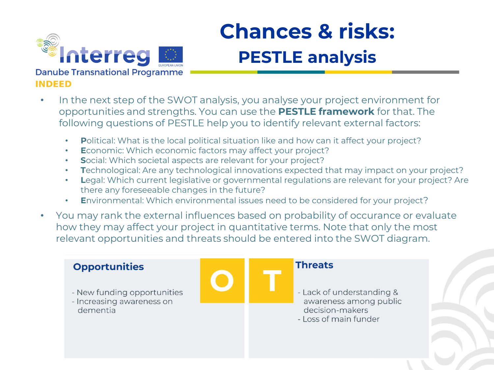

## **Chances & risks: PESTLE analysis**

#### In the next step of the SWOT analysis, you analyse your project environment for opportunities and strengths. You can use the **PESTLE framework** for that. The following questions of PESTLE help you to identify relevant external factors:

- **P**olitical: What is the local political situation like and how can it affect your project?
- **Economic: Which economic factors may affect your project?**
- **S**ocial: Which societal aspects are relevant for your project?
- **T**echnological: Are any technological innovations expected that may impact on your project?
- **Legal:** Which current legislative or governmental regulations are relevant for your project? Are there any foreseeable changes in the future?
- **E**nvironmental: Which environmental issues need to be considered for your project?
- You may rank the external influences based on probability of occurance or evaluate how they may affect your project in quantitative terms. Note that only the most relevant opportunities and threats should be entered into the SWOT diagram.